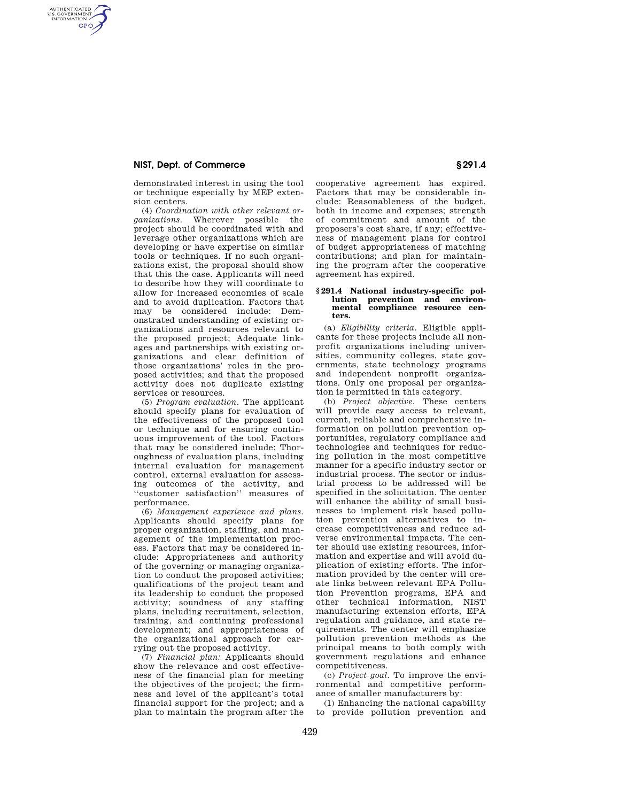## **NIST, Dept. of Commerce § 291.4**

AUTHENTICATED<br>U.S. GOVERNMENT<br>INFORMATION **GPO** 

> demonstrated interest in using the tool or technique especially by MEP extension centers.

(4) *Coordination with other relevant organizations.* Wherever possible the project should be coordinated with and leverage other organizations which are developing or have expertise on similar tools or techniques. If no such organizations exist, the proposal should show that this the case. Applicants will need to describe how they will coordinate to allow for increased economies of scale and to avoid duplication. Factors that may be considered include: Demonstrated understanding of existing organizations and resources relevant to the proposed project; Adequate linkages and partnerships with existing organizations and clear definition of those organizations' roles in the proposed activities; and that the proposed activity does not duplicate existing services or resources.

(5) *Program evaluation.* The applicant should specify plans for evaluation of the effectiveness of the proposed tool or technique and for ensuring continuous improvement of the tool. Factors that may be considered include: Thoroughness of evaluation plans, including internal evaluation for management control, external evaluation for assessing outcomes of the activity, and ''customer satisfaction'' measures of performance.

(6) *Management experience and plans.*  Applicants should specify plans for proper organization, staffing, and management of the implementation process. Factors that may be considered include: Appropriateness and authority of the governing or managing organization to conduct the proposed activities; qualifications of the project team and its leadership to conduct the proposed activity; soundness of any staffing plans, including recruitment, selection, training, and continuing professional development; and appropriateness of the organizational approach for carrying out the proposed activity.

(7) *Financial plan:* Applicants should show the relevance and cost effectiveness of the financial plan for meeting the objectives of the project; the firmness and level of the applicant's total financial support for the project; and a plan to maintain the program after the

cooperative agreement has expired. Factors that may be considerable include: Reasonableness of the budget both in income and expenses; strength of commitment and amount of the proposers's cost share, if any; effectiveness of management plans for control of budget appropriateness of matching contributions; and plan for maintaining the program after the cooperative agreement has expired.

## **§ 291.4 National industry-specific pollution prevention and environmental compliance resource centers.**

(a) *Eligibility criteria.* Eligible applicants for these projects include all nonprofit organizations including universities, community colleges, state governments, state technology programs and independent nonprofit organizations. Only one proposal per organization is permitted in this category.

(b) *Project objective.* These centers will provide easy access to relevant, current, reliable and comprehensive information on pollution prevention opportunities, regulatory compliance and technologies and techniques for reducing pollution in the most competitive manner for a specific industry sector or industrial process. The sector or industrial process to be addressed will be specified in the solicitation. The center will enhance the ability of small businesses to implement risk based pollution prevention alternatives to increase competitiveness and reduce adverse environmental impacts. The center should use existing resources, information and expertise and will avoid duplication of existing efforts. The information provided by the center will create links between relevant EPA Pollution Prevention programs, EPA and other technical information, NIST manufacturing extension efforts, EPA regulation and guidance, and state requirements. The center will emphasize pollution prevention methods as the principal means to both comply with government regulations and enhance competitiveness.

(c) *Project goal.* To improve the environmental and competitive performance of smaller manufacturers by:

(1) Enhancing the national capability to provide pollution prevention and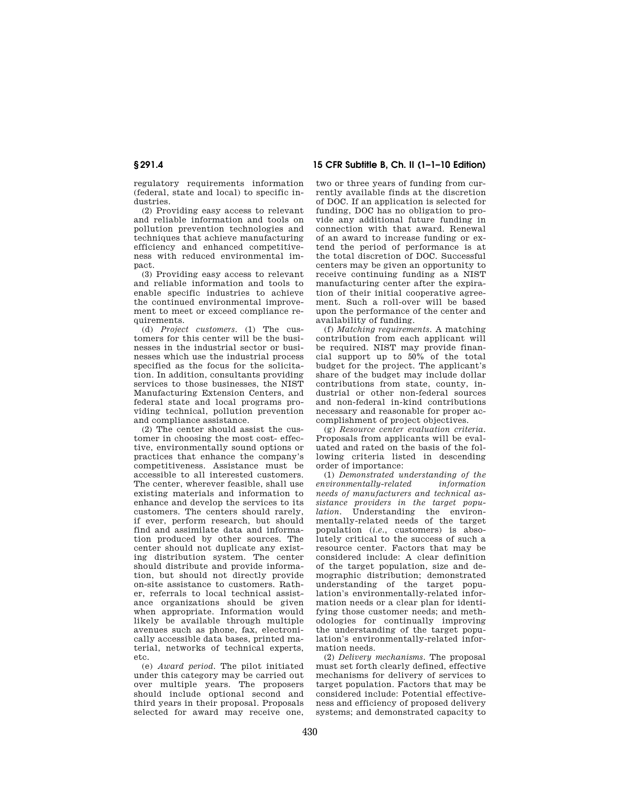regulatory requirements information (federal, state and local) to specific industries.

(2) Providing easy access to relevant and reliable information and tools on pollution prevention technologies and techniques that achieve manufacturing efficiency and enhanced competitiveness with reduced environmental impact.

(3) Providing easy access to relevant and reliable information and tools to enable specific industries to achieve the continued environmental improvement to meet or exceed compliance requirements.

(d) *Project customers.* (1) The customers for this center will be the businesses in the industrial sector or businesses which use the industrial process specified as the focus for the solicitation. In addition, consultants providing services to those businesses, the NIST Manufacturing Extension Centers, and federal state and local programs providing technical, pollution prevention and compliance assistance.

(2) The center should assist the customer in choosing the most cost- effective, environmentally sound options or practices that enhance the company's competitiveness. Assistance must be accessible to all interested customers. The center, wherever feasible, shall use existing materials and information to enhance and develop the services to its customers. The centers should rarely, if ever, perform research, but should find and assimilate data and information produced by other sources. The center should not duplicate any existing distribution system. The center should distribute and provide information, but should not directly provide on-site assistance to customers. Rather, referrals to local technical assistance organizations should be given when appropriate. Information would likely be available through multiple avenues such as phone, fax, electronically accessible data bases, printed material, networks of technical experts, etc.

(e) *Award period.* The pilot initiated under this category may be carried out over multiple years. The proposers should include optional second and third years in their proposal. Proposals selected for award may receive one,

**§ 291.4 15 CFR Subtitle B, Ch. II (1–1–10 Edition)** 

two or three years of funding from currently available finds at the discretion of DOC. If an application is selected for funding, DOC has no obligation to provide any additional future funding in connection with that award. Renewal of an award to increase funding or extend the period of performance is at the total discretion of DOC. Successful centers may be given an opportunity to receive continuing funding as a NIST manufacturing center after the expiration of their initial cooperative agreement. Such a roll-over will be based upon the performance of the center and availability of funding.

(f) *Matching requirements.* A matching contribution from each applicant will be required. NIST may provide financial support up to  $50\%$  of the total budget for the project. The applicant's share of the budget may include dollar contributions from state, county, industrial or other non-federal sources and non-federal in-kind contributions necessary and reasonable for proper accomplishment of project objectives.

(g) *Resource center evaluation criteria.*  Proposals from applicants will be evaluated and rated on the basis of the following criteria listed in descending order of importance:

(1) *Demonstrated understanding of the*   $environmentally-related$ *needs of manufacturers and technical assistance providers in the target population*. Understanding the environmentally-related needs of the target population (*i.e.*, customers) is absolutely critical to the success of such a resource center. Factors that may be considered include: A clear definition of the target population, size and demographic distribution; demonstrated understanding of the target population's environmentally-related information needs or a clear plan for identifying those customer needs; and methodologies for continually improving the understanding of the target population's environmentally-related information needs.

(2) *Delivery mechanisms.* The proposal must set forth clearly defined, effective mechanisms for delivery of services to target population. Factors that may be considered include: Potential effectiveness and efficiency of proposed delivery systems; and demonstrated capacity to